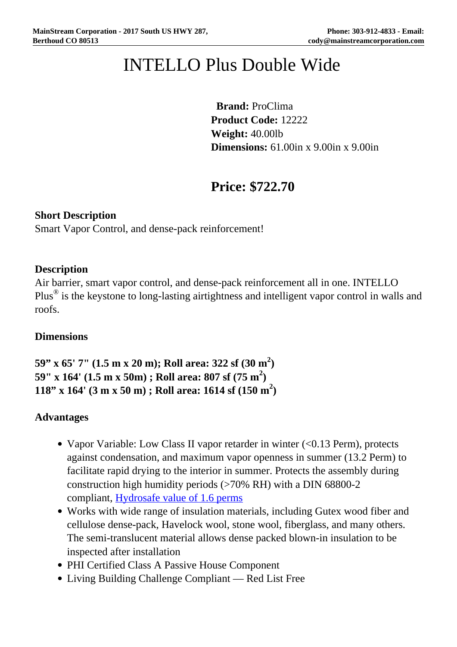# INTELLO Plus Double Wide

 **Brand:** ProClima **Product Code:** 12222 **Weight:** 40.00lb **Dimensions:** 61.00in x 9.00in x 9.00in

## **Price: \$722.70**

#### **Short Description**

Smart Vapor Control, and dense-pack reinforcement!

#### **Description**

Air barrier, smart vapor control, and dense-pack reinforcement all in one. INTELLO Plus $^{\circledR}$  is the keystone to long-lasting airtightness and intelligent vapor control in walls and roofs.

#### **Dimensions**

```
59" x 65' 7" (1.5 m x 20 m); Roll area: 322 sf (30 m2
)
59" x 164' (1.5 m x 50m) ; Roll area: 807 sf (75 m2
)
118" x 164' (3 m x 50 m) ; Roll area: 1614 sf (150 m2
)
```
#### **Advantages**

- Vapor Variable: Low Class II vapor retarder in winter (<0.13 Perm), protects against condensation, and maximum vapor openness in summer (13.2 Perm) to facilitate rapid drying to the interior in summer. Protects the assembly during construction high humidity periods (>70% RH) with a DIN 68800-2 compliant, [Hydrosafe value of 1.6 perms](https://foursevenfive.com/blog/how-and-when-smart-vapor-retarders-should-open-up-intellos-decade-of-safe-construction/)
- Works with wide range of insulation materials, including Gutex wood fiber and cellulose dense-pack, Havelock wool, stone wool, fiberglass, and many others. The semi-translucent material allows dense packed blown-in insulation to be inspected after installation
- PHI Certified Class A Passive House Component
- Living Building Challenge Compliant Red List Free